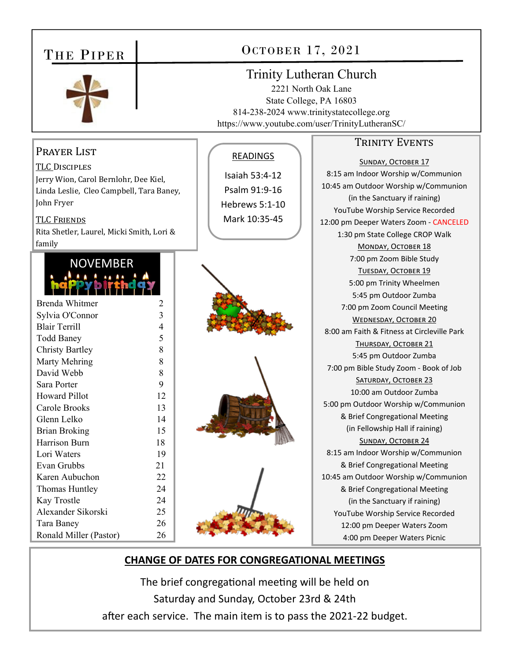| THE PIPER                                                                                                                                                                                                                                                                                                                                                                                                                                                                                                                                                                                                                                               | OCTOBER 17, 2021                                                                                                   |                                                                                                                                                                                 |                                                                                                                                                                                                                                                                                                                                                                                                                                                                                                                                                                                                                                                                                                                                                                                                                                                                                                                                                                                                                                                                                                             |
|---------------------------------------------------------------------------------------------------------------------------------------------------------------------------------------------------------------------------------------------------------------------------------------------------------------------------------------------------------------------------------------------------------------------------------------------------------------------------------------------------------------------------------------------------------------------------------------------------------------------------------------------------------|--------------------------------------------------------------------------------------------------------------------|---------------------------------------------------------------------------------------------------------------------------------------------------------------------------------|-------------------------------------------------------------------------------------------------------------------------------------------------------------------------------------------------------------------------------------------------------------------------------------------------------------------------------------------------------------------------------------------------------------------------------------------------------------------------------------------------------------------------------------------------------------------------------------------------------------------------------------------------------------------------------------------------------------------------------------------------------------------------------------------------------------------------------------------------------------------------------------------------------------------------------------------------------------------------------------------------------------------------------------------------------------------------------------------------------------|
|                                                                                                                                                                                                                                                                                                                                                                                                                                                                                                                                                                                                                                                         |                                                                                                                    | <b>Trinity Lutheran Church</b><br>2221 North Oak Lane<br>State College, PA 16803<br>814-238-2024 www.trinitystatecollege.org<br>https://www.youtube.com/user/TrinityLutheranSC/ |                                                                                                                                                                                                                                                                                                                                                                                                                                                                                                                                                                                                                                                                                                                                                                                                                                                                                                                                                                                                                                                                                                             |
| PRAYER LIST<br><b>TLC DISCIPLES</b><br>Jerry Wion, Carol Bernlohr, Dee Kiel,<br>Linda Leslie, Cleo Campbell, Tara Baney,<br>John Fryer<br><b>TLC FRIENDS</b><br>Rita Shetler, Laurel, Micki Smith, Lori &<br>family<br><b>NOVEMBER</b><br><b>Brenda Whitmer</b><br>Sylvia O'Connor<br><b>Blair Terrill</b><br><b>Todd Baney</b><br><b>Christy Bartley</b><br>Marty Mehring<br>David Webb<br>Sara Porter<br><b>Howard Pillot</b><br>Carole Brooks<br>Glenn Lelko<br><b>Brian Broking</b><br>Harrison Burn<br>Lori Waters<br>Evan Grubbs<br>Karen Aubuchon<br>Thomas Huntley<br>Kay Trostle<br>Alexander Sikorski<br>Tara Baney<br>Ronald Miller (Pastor) | 2<br>3<br>4<br>5<br>8<br>8<br>8<br>9<br>12<br>13<br>14<br>15<br>18<br>19<br>21<br>22<br>24<br>24<br>25<br>26<br>26 | <b>READINGS</b><br>Isaiah 53:4-12<br>Psalm 91:9-16<br>Hebrews 5:1-10<br>Mark 10:35-45                                                                                           | <b>TRINITY EVENTS</b><br><b>SUNDAY, OCTOBER 17</b><br>8:15 am Indoor Worship w/Communion<br>10:45 am Outdoor Worship w/Communion<br>(in the Sanctuary if raining)<br>YouTube Worship Service Recorded<br>12:00 pm Deeper Waters Zoom - CANCELED<br>1:30 pm State College CROP Walk<br>MONDAY, OCTOBER 18<br>7:00 pm Zoom Bible Study<br>TUESDAY, OCTOBER 19<br>5:00 pm Trinity Wheelmen<br>5:45 pm Outdoor Zumba<br>7:00 pm Zoom Council Meeting<br><b>WEDNESDAY, OCTOBER 20</b><br>8:00 am Faith & Fitness at Circleville Park<br>THURSDAY, OCTOBER 21<br>5:45 pm Outdoor Zumba<br>7:00 pm Bible Study Zoom - Book of Job<br>SATURDAY, OCTOBER 23<br>10:00 am Outdoor Zumba<br>5:00 pm Outdoor Worship w/Communion<br>& Brief Congregational Meeting<br>(in Fellowship Hall if raining)<br><b>SUNDAY, OCTOBER 24</b><br>8:15 am Indoor Worship w/Communion<br>& Brief Congregational Meeting<br>10:45 am Outdoor Worship w/Communion<br>& Brief Congregational Meeting<br>(in the Sanctuary if raining)<br>YouTube Worship Service Recorded<br>12:00 pm Deeper Waters Zoom<br>4:00 pm Deeper Waters Picnic |
| <b>CHANGE OF DATES FOR CONGREGATIONAL MEETINGS</b>                                                                                                                                                                                                                                                                                                                                                                                                                                                                                                                                                                                                      |                                                                                                                    |                                                                                                                                                                                 |                                                                                                                                                                                                                                                                                                                                                                                                                                                                                                                                                                                                                                                                                                                                                                                                                                                                                                                                                                                                                                                                                                             |

## **CHANGE OF DATES FOR CONGREGATIONAL MEETINGS**

The brief congregational meeting will be held on Saturday and Sunday, October 23rd & 24th after each service. The main item is to pass the 2021-22 budget.